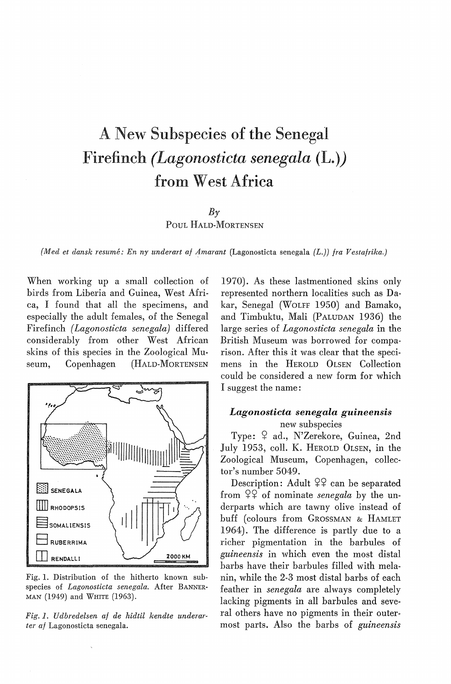# A New Subspecies of the Senegal Firefinch *(Lagonosticta senegala* (L.)) from West Africa

## $Bv$

POUL HALD-MORTENSEN

*{Med et dansk resume: En ny underart af Amarant* (Lagonosticta senegala *(L.)) fra Vestafrika.)* 

When working up a small collection of hirds from Liberia and Guinea, West Africa, I found that all the specimens, and especially the adult females, of the Senegal Firefinch *(Lagonosticta senegala)* differed considerably from other West African skins of this species in the Zoological Museum, Copenhagen (HALD-MORTENSEN



Fig. 1. Distribution of the hitherto known subspecies of *Lagonosticta senegala.* After BANNER-MAN (1949) and WHITE (1963).

*Fig.* 1. *Udbredelsen af de hidtil kendte underarter af* Lagonosticta senegala.

1970). As these lastmentioned skins only represented northern localities such as Dakar, Senegal (WoLFF 1950) and Bamako, and Timbuktu, Mali (PALUDAN 1936) the large series of *Lagonosticta senegala* in the British Museum was borrowed for comparison. After this it was clear that the specimens in the HEROLD OLSEN Collection could be considered a new form for which I suggest the name:

# *Lagonosticta senegala guineensis*  new subspecies

Type:  $9$  ad., N'Zerekore, Guinea, 2nd July 1953, coll. K. HEROLD OLSEN, in the Zoological Museum, Copenhagen, collector's number 5049.

Description: Adult  $22$  can be separated from  $99^{\circ}$  of nominate *senegala* by the underparts which are tawny olive instead of buff (colours from GROSSMAN & HAMLET 1964). The difference is partly due to a richer pigmentation in the barbules of *guineensis* in which even the most distal barbs have their barbules filled with melanin, while the 2-3 most distal barbs of each feather in *senegala* are always completely lacking pigments in all barbules and several others have no pigments in their outermost parts. Also the barbs of *guineensis*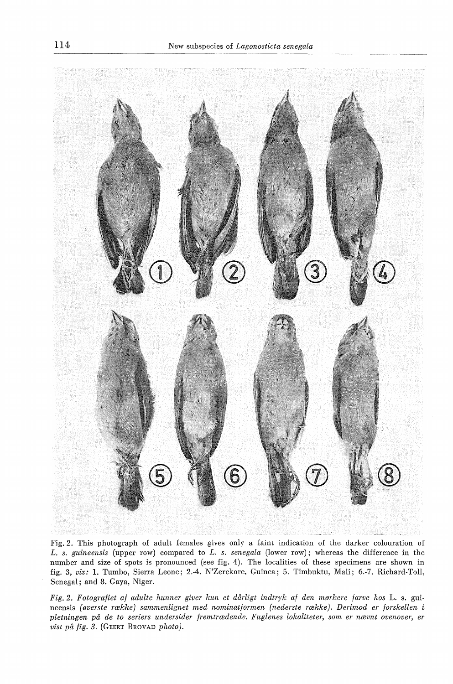

Fig. 2. This photograph of adult females gives only a faint indication of the darker colouration of *L. s. guineensis* (upper row) compared to *L. s. senegala* (lower row); whereas the difference in the number and size of spots is pronounced (see fig. 4). The localities of these specimens are shown in fig. 3, *viz:* 1. Tumbo, Sierra Leone; 2.-4. N'Zerekore, Guinea; 5. Timbuktu, Mali; 6.-7. Richard-Toll, Senegal; and 8. Gaya, Niger.

*Fig. 2. Fotografiet af adulte hunner giver kun et dårligt indtryk af den mørkere farve hos* L. s. guineensis *(øverste række) sammenlignet med nominatformen (nederste række). Derimod er forskellen* i *pletningen på de to seriers undersider fremtrædende. Fuglenes lokaliteter, som er nævnt ovenover, er vist på fig. 3.* (GEERT BROVAD *photo).*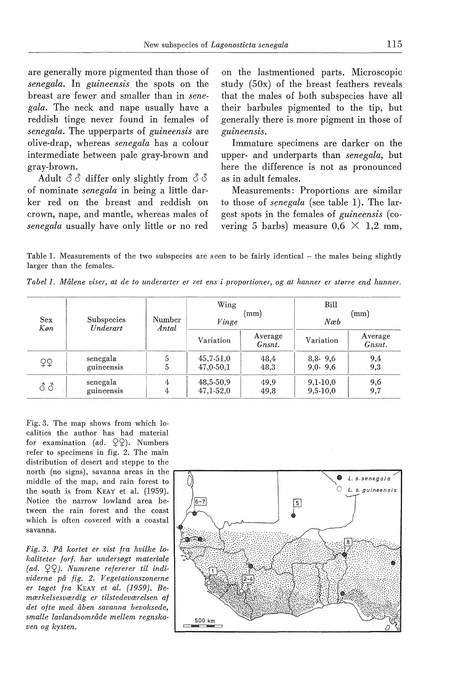are generally more pigmented than those of *senegala.* In *guineensis* the spots on the breast are fewer and smaller than in *senegala.* The neck and nape usually have a reddish tinge never found in females of *senegala.* The upperparts of *guineensis* are olive-drap, whereas *senegala* has a colour intermediate between pale gray-brown and gray-brown.

Adult  $\delta \delta$  differ only slightly from  $\delta \delta$ of nominate *senegala* in being a little darker red on the breast and reddish on crown, nape, and mantle, whereas males of *senegala* usually have only little or no red on the lastrnentioned parts. Microscopic study (50x) of the breast feathers reveals that the males of both subspecies have all their barbules pigmented to the tip, but generally there is more pigment in those of *guineensis.* 

Immature specimens are darker on the upper- and underparts than *senegala,* but here the difference is not as pronounced as in adult females.

Measurements: Proportions are similar to those of *senegala* ( see table 1). The largest spots in the females of *guineensis* ( covering 5 barbs) measure  $0.6 \times 1.2$  mm,

Table 1. Measurements of the two subspecies are seen to be fairly identical – the males being slightly larger than the females.

*Tabel 1. Målene viser, at de to underarter er ret ens i proportioner, og at hanner er større end hunner.* 

| Sex<br>Køn | Subspecies<br>Underart | Number<br>Antal | Wing<br>(mm)<br>Vinge    |                   | Bill                     |                   |  |
|------------|------------------------|-----------------|--------------------------|-------------------|--------------------------|-------------------|--|
|            |                        |                 |                          |                   | (mm)<br>Næb              |                   |  |
|            |                        |                 | Variation                | Average<br>Gnsnt. | Variation                | Average<br>Gnsnt. |  |
| ¥₹         | senegala<br>guineensis | 5               | $45,7-51,0$<br>47,0-50,1 | 48,4<br>48.3      | 8,8.9,6<br>$9.0 - 9.6$   | 9,4<br>9,3        |  |
| 88         | senegala<br>guineensis | 4<br>4          | 48,5-50,9<br>47,1-52,0   | 49.9<br>49.8      | $9,1-10,0$<br>$9,5-10,0$ | 9,6<br>9,7        |  |

Fig. 3. The map shows from which localities the author has had material for examination (ad.  $29$ ). Numbers refer to specimens in fig. 2. The main distribution of desert and steppe to the the south is from KEAY et al. (1959). Notice the narrow lowland area between the rain forest and the coast which is often covered with a coastal savanna.

*Fig. 3. På kortet er vist fra hvilke lokaliteter forf. har undersøgt materiale (ad.* QQJ. *Numrene refererer til individerne på fig. 2. Vegetationszonerne er taget fra* KEAY *et al. (1959). Bemærkelsesværdig er tilstedeværelsen af det ofte med åben savanna bevoksede, smalle lavlandsområde mellem regnskoven og kysten.* 

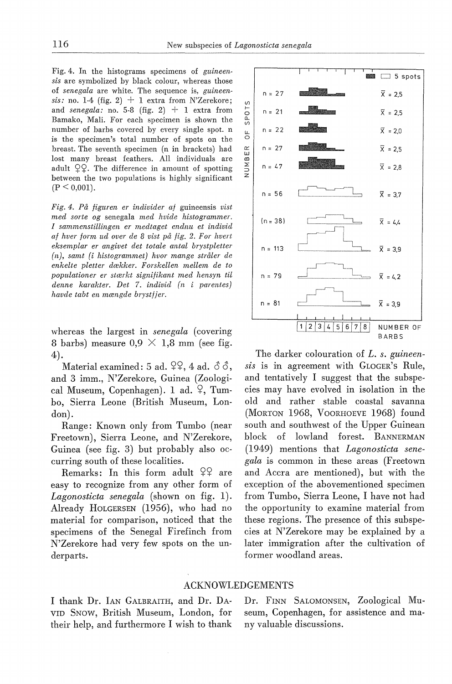Fig. 4. In the histograms specimens of *guineensis* are symbolized by black colour, whereas those of *senegala* are white. The sequence is, *guineensis:* no. 1-4 (fig. 2) + 1 extra from N'Zerekore; and *senegala:* no. 5-8 (fig. 2)  $+$  1 extra from Bamako, Mali. For each specimen is shown the number of barbs covered by every single spot. n is the specimen's total number of spots on the breast. The seventh specimen (n in brackets) had lost many breast feathers. All individuals are adult  $\mathcal{Q}\mathcal{Q}$ . The difference in amount of spotting between the two populations is highly significant  $(P \leq 0.001)$ .

*Fig. 4. På figuren er individer af* guineensis *vist med sorte og* senegala *med hvide histogrammer. I sammenstillingen er medtaget endnu et individ af hver form ud over de 8 vist på fig. 2. For hvert eksemplar er angivet det totale antal brystpletter (n), samt (i histogrammet) hvor mange stråler de enkelte pletter dækker. Forskellen mellem de to populationer er stærkt signifikant med hensyn til denne karakter. Det* 7. *individ ( n i parentes) havde tabt en mængde bryst/ jer.* 

whereas the largest in *senegala* (covering 8 barbs) measure  $0.9 \times 1.8$  mm (see fig. 4).

Material examined: 5 ad.  $29, 4$  ad.  $33,$ and 3 imm., N'Zerekore, Guinea (Zoological Museum, Copenhagen). 1 ad.  $\varphi$ , Tumbo, Sierra Leone (British Museum, London).

Range: Known only from Tumbo (near Freetown), Sierra Leone, and N'Zerekore, Guinea (see fig. 3) but probably also occurring south of these localities.

Remarks: In this form adult  $99$  are easy to recognize from any other form of *Lagonosticta senegala* (shown on fig. 1). Already HoLGERSEN (1956), who had no material for comparison, noticed that the specimens of the Senegal Firefinch from N'Zerekore had very few spots on the underparts.



The darker colouration of *L. s. guineensis* is in agreement with GLOGER's Rule, and tentatively I suggest that the subspecies may have evolved in isolation in the old and rather stable coastal savanna (MORTON 1968, VooRHOEVE 1968) found south and southwest of the Upper Guinean block of lowland forest. BANNERMAN (1949) mentions that *Lagonosticta senegala* is common in these areas (Freetown and Accra are mentioned), but with the exception of the abovementioned specimen from Tumbo, Sierra Leone, I have not had the opportunity to examine material from these regions. The presence of this subspecies at N' Zerekore may be explained by a later immigration after the cultivation of former woodland areas.

## ACKNOWLEDGEMENTS

I thank Dr. IAN GALBRAITH, and Dr. DA-VID SNow, British Museum, London, for their help, and furthermore I wish to thank

Dr. FINN SALOMONSEN, Zoological Museum, Copenhagen, for assistence and many valuable discussions.